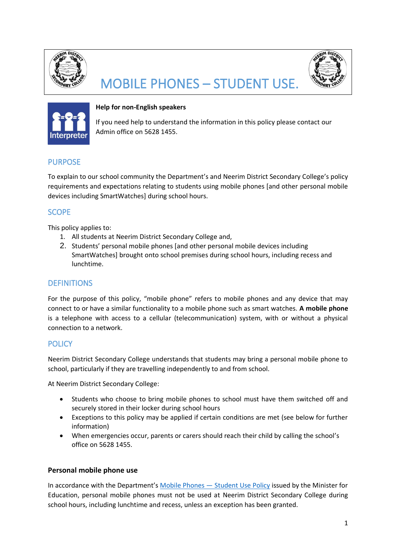

# MOBILE PHONES – STUDENT USE.





## **Help for non-English speakers**

If you need help to understand the information in this policy please contact our Admin office on 5628 1455.

# PURPOSE

To explain to our school community the Department's and Neerim District Secondary College's policy requirements and expectations relating to students using mobile phones [and other personal mobile devices including SmartWatches] during school hours.

# **SCOPE**

This policy applies to:

- 1. All students at Neerim District Secondary College and,
- 2. Students' personal mobile phones [and other personal mobile devices including SmartWatches] brought onto school premises during school hours, including recess and lunchtime.

# **DEFINITIONS**

For the purpose of this policy, "mobile phone" refers to mobile phones and any device that may connect to or have a similar functionality to a mobile phone such as smart watches. **A mobile phone**  is a telephone with access to a cellular (telecommunication) system, with or without a physical connection to a network.

## **POLICY**

Neerim District Secondary College understands that students may bring a personal mobile phone to school, particularly if they are travelling independently to and from school.

At Neerim District Secondary College:

- Students who choose to bring mobile phones to school must have them switched off and securely stored in their locker during school hours
- Exceptions to this policy may be applied if certain conditions are met (see below for further information)
- When emergencies occur, parents or carers should reach their child by calling the school's office on 5628 1455.

## **Personal mobile phone use**

In accordance with the Department's [Mobile Phones](https://www2.education.vic.gov.au/pal/students-using-mobile-phones/policy) - Student Use Policy issued by the Minister for Education, personal mobile phones must not be used at Neerim District Secondary College during school hours, including lunchtime and recess, unless an exception has been granted.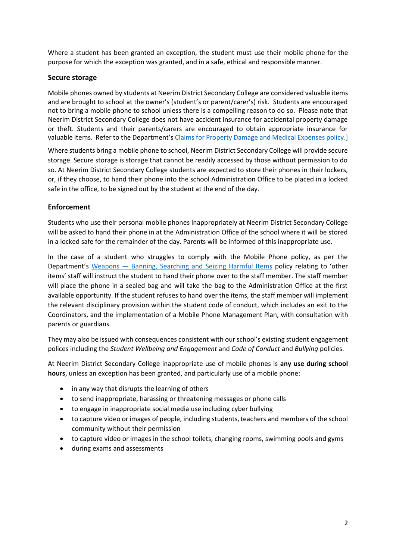Where a student has been granted an exception, the student must use their mobile phone for the purpose for which the exception was granted, and in a safe, ethical and responsible manner.

## **Secure storage**

Mobile phones owned by students at Neerim District Secondary College are considered valuable items and are brought to school at the owner's (student's or parent/carer's) risk. Students are encouraged not to bring a mobile phone to school unless there is a compelling reason to do so. Please note that Neerim District Secondary College does not have accident insurance for accidental property damage or theft. Students and their parents/carers are encouraged to obtain appropriate insurance for valuable items. Refer to the Department's [Claims for Property Damage and Medical Expenses](https://www2.education.vic.gov.au/pal/claims-property-damage-and-medical-expenses/policy) policy.]

Where students bring a mobile phone to school, Neerim District Secondary College will provide secure storage. Secure storage is storage that cannot be readily accessed by those without permission to do so. At Neerim District Secondary College students are expected to store their phones in their lockers, or, if they choose, to hand their phone into the school Administration Office to be placed in a locked safe in the office, to be signed out by the student at the end of the day.

## **Enforcement**

Students who use their personal mobile phones inappropriately at Neerim District Secondary College will be asked to hand their phone in at the Administration Office of the school where it will be stored in a locked safe for the remainder of the day. Parents will be informed of this inappropriate use.

In the case of a student who struggles to comply with the Mobile Phone policy, as per the Department's Weapons — [Banning, Searching and Seizing Harmful Items](https://www2.education.vic.gov.au/pal/weapons/policy) policy relating to 'other items' staff will instruct the student to hand their phone over to the staff member. The staff member will place the phone in a sealed bag and will take the bag to the Administration Office at the first available opportunity. If the student refuses to hand over the items, the staff member will implement the relevant disciplinary provision within the student code of conduct, which includes an exit to the Coordinators, and the implementation of a Mobile Phone Management Plan, with consultation with parents or guardians.

They may also be issued with consequences consistent with our school's existing student engagement polices including the *Student Wellbeing and Engagement* and *Code of Conduct* and *Bullying* policies.

At Neerim District Secondary College inappropriate use of mobile phones is **any use during school hours**, unless an exception has been granted, and particularly use of a mobile phone:

- in any way that disrupts the learning of others
- to send inappropriate, harassing or threatening messages or phone calls
- to engage in inappropriate social media use including cyber bullying
- to capture video or images of people, including students, teachers and members of the school community without their permission
- to capture video or images in the school toilets, changing rooms, swimming pools and gyms
- during exams and assessments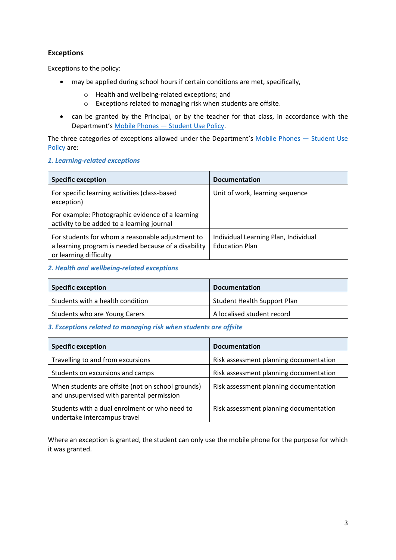## **Exceptions**

Exceptions to the policy:

- may be applied during school hours if certain conditions are met, specifically,
	- o Health and wellbeing-related exceptions; and
	- o Exceptions related to managing risk when students are offsite.
- can be granted by the Principal, or by the teacher for that class, in accordance with the Department's Mobile Phones — [Student Use Policy.](https://www2.education.vic.gov.au/pal/students-using-mobile-phones/policy)

The three categories of exceptions allowed under the Department's [Mobile Phones](https://www2.education.vic.gov.au/pal/students-using-mobile-phones/policy) - Student Use [Policy](https://www2.education.vic.gov.au/pal/students-using-mobile-phones/policy) are:

#### *1. Learning-related exceptions*

| <b>Specific exception</b>                                                                                                          | <b>Documentation</b>                                          |
|------------------------------------------------------------------------------------------------------------------------------------|---------------------------------------------------------------|
| For specific learning activities (class-based<br>exception)                                                                        | Unit of work, learning sequence                               |
| For example: Photographic evidence of a learning<br>activity to be added to a learning journal                                     |                                                               |
| For students for whom a reasonable adjustment to<br>a learning program is needed because of a disability<br>or learning difficulty | Individual Learning Plan, Individual<br><b>Education Plan</b> |

#### *2. Health and wellbeing-related exceptions*

| <b>Specific exception</b>        | <b>Documentation</b>               |
|----------------------------------|------------------------------------|
| Students with a health condition | <b>Student Health Support Plan</b> |
| Students who are Young Carers    | A localised student record         |

#### *3. Exceptions related to managing risk when students are offsite*

| <b>Specific exception</b>                                                                      | <b>Documentation</b>                   |
|------------------------------------------------------------------------------------------------|----------------------------------------|
| Travelling to and from excursions                                                              | Risk assessment planning documentation |
| Students on excursions and camps                                                               | Risk assessment planning documentation |
| When students are offsite (not on school grounds)<br>and unsupervised with parental permission | Risk assessment planning documentation |
| Students with a dual enrolment or who need to<br>undertake intercampus travel                  | Risk assessment planning documentation |

Where an exception is granted, the student can only use the mobile phone for the purpose for which it was granted.